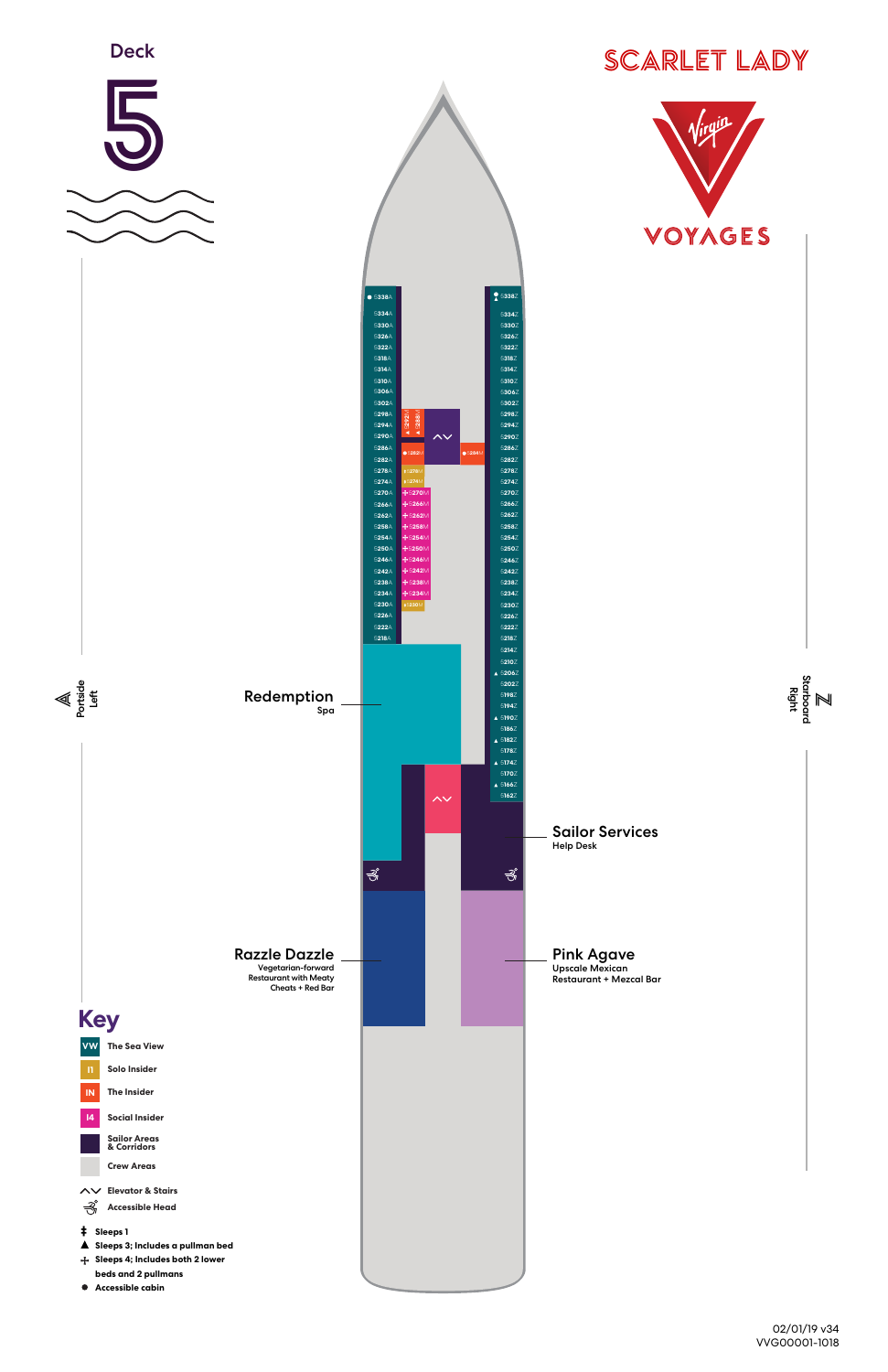



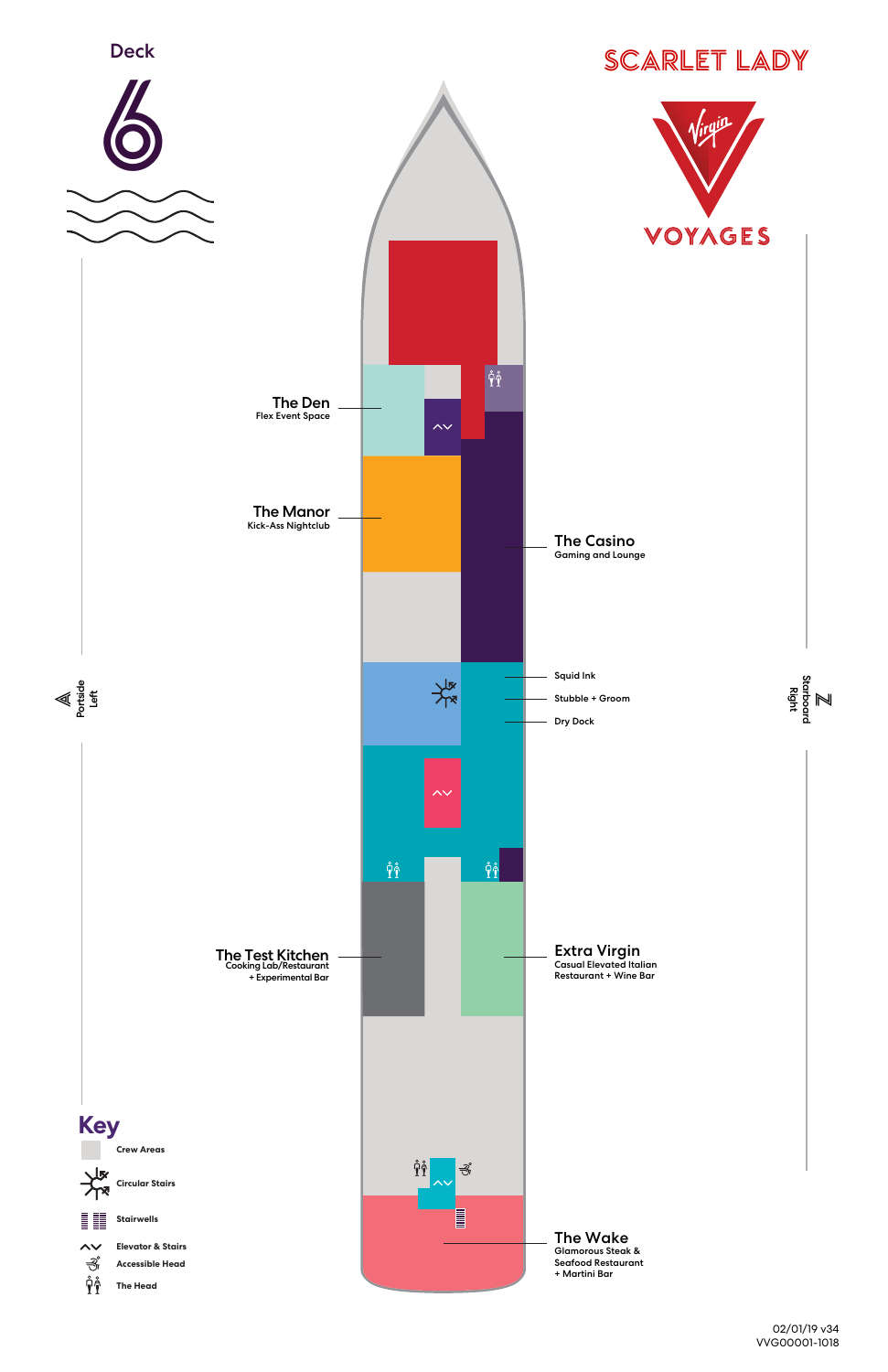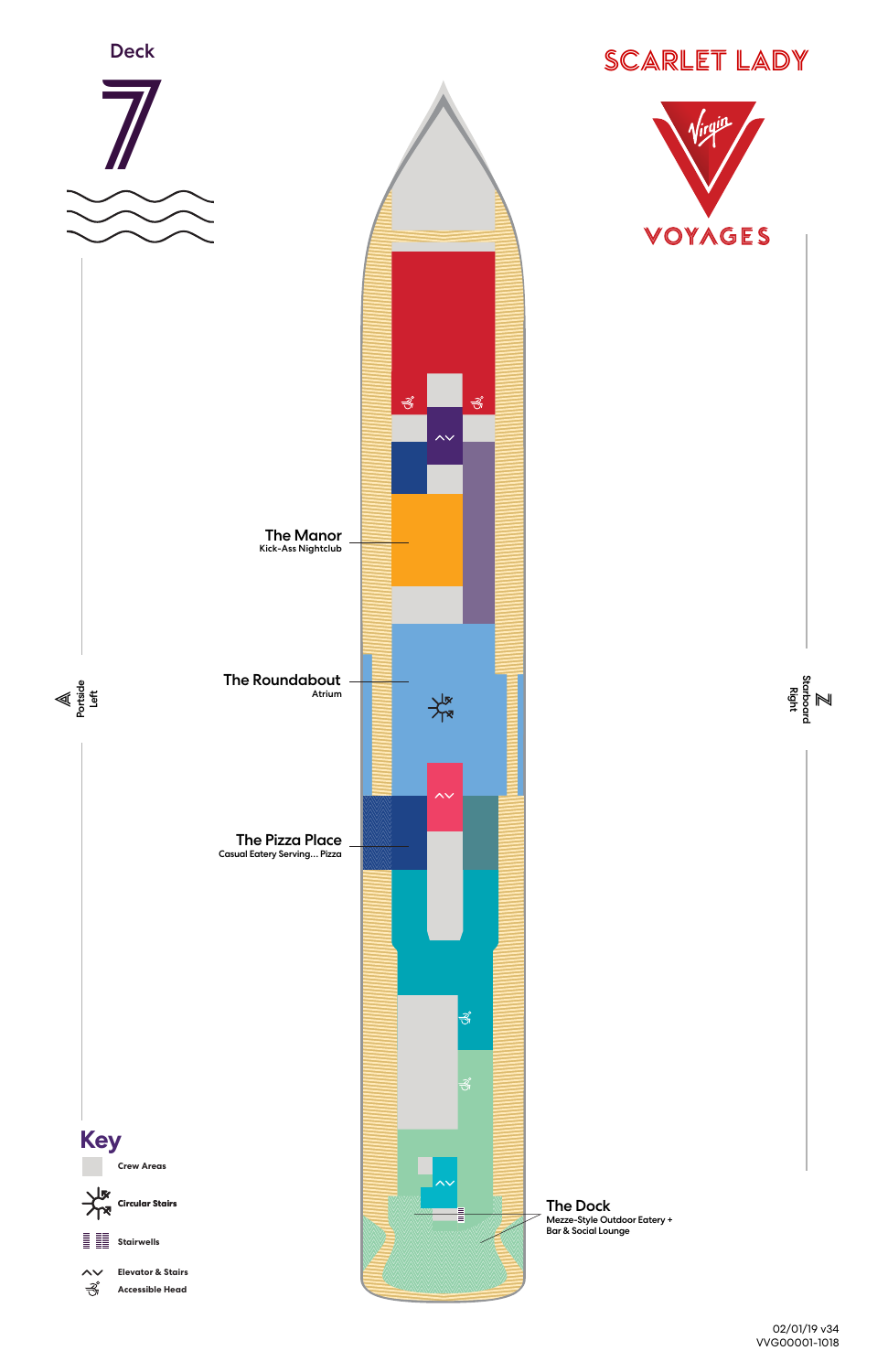



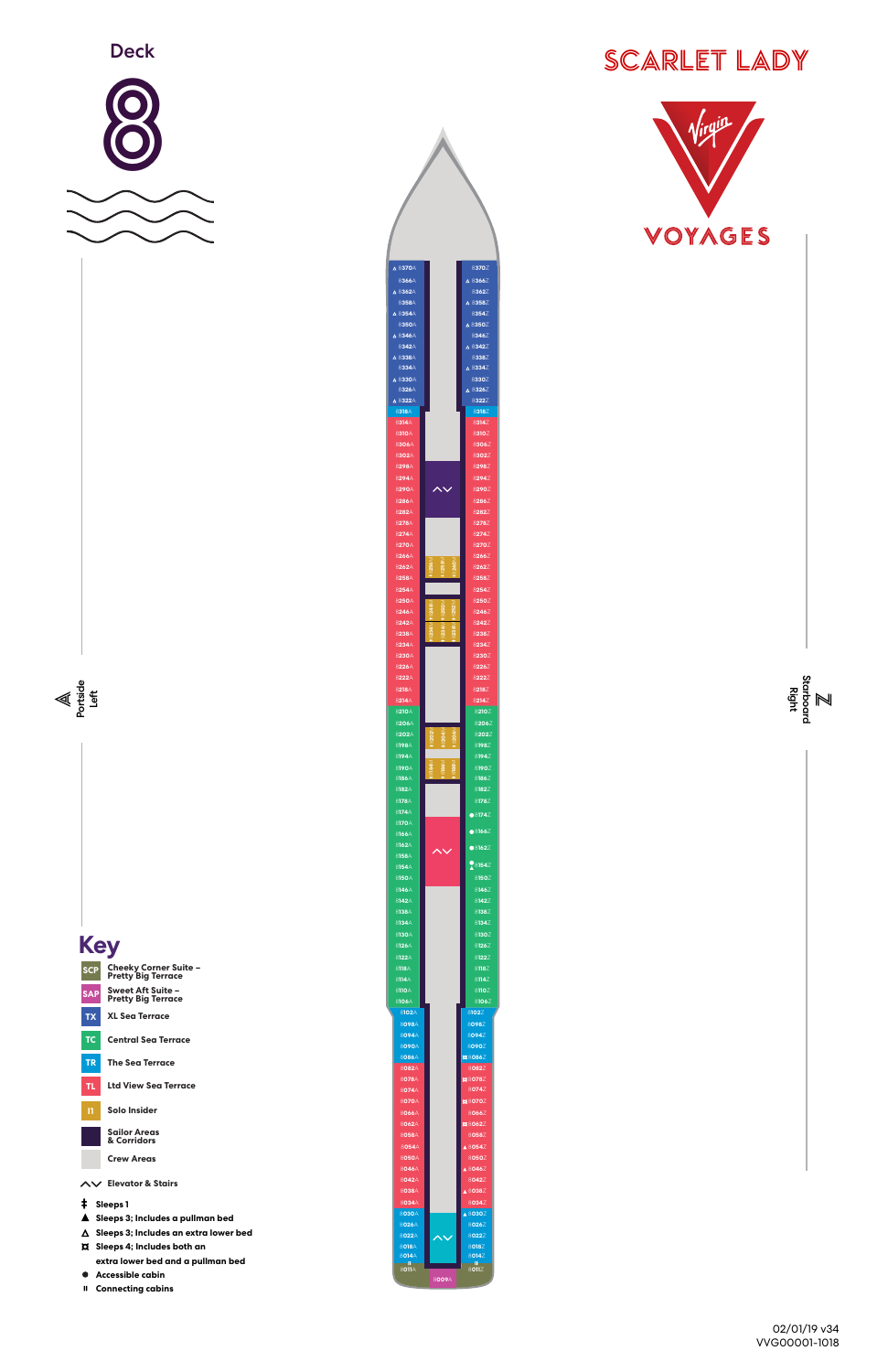





|                                                                         | 8134A          |
|-------------------------------------------------------------------------|----------------|
|                                                                         | 8130A          |
| <b>Key</b>                                                              | 8126A          |
|                                                                         | 8122A          |
| <b>Cheeky Corner Suite -</b><br><b>SCP</b><br><b>Pretty Big Terrace</b> | 8118A          |
|                                                                         | 8114A          |
| <b>Sweet Aft Suite -</b><br><b>SAP</b><br><b>Pretty Big Terrace</b>     | 8110A<br>8106A |
|                                                                         | 8102A          |
| <b>XL Sea Terrace</b><br><b>TX</b>                                      | 8098A          |
|                                                                         | 8094A          |
| TC.<br><b>Central Sea Terrace</b>                                       | 8090A          |
| <b>The Sea Terrace</b><br><b>TR</b>                                     | 8086A          |
|                                                                         | 8082A          |
| <b>Ltd View Sea Terrace</b><br>TL.                                      | 8078A          |
|                                                                         | 8074A          |
| Solo Insider<br>п                                                       | 8070A          |
|                                                                         | 8066A<br>8062A |
| <b>Sailor Areas</b>                                                     | 8058A          |
| & Corridors                                                             | 8054A          |
| <b>Crew Areas</b>                                                       | 8050A          |
|                                                                         | 8046A          |
| ヘン Elevator & Stairs                                                    | 8042A          |
|                                                                         | 8038A          |
| Ф.<br>Sleeps 1                                                          | 8034A          |
| Sleeps 3; Includes a pullman bed                                        | 8030A          |
| $\triangle$ Sleeps 3; Includes an extra lower bed                       | 8026A          |
|                                                                         | 8022A          |
| <b>D</b> Sleeps 4; Includes both an                                     | 8018A<br>8014A |
| extra lower bed and a pullman bed                                       | a.<br>8011A    |
| Accessible cabin                                                        |                |
| Ш<br><b>Connecting cabins</b>                                           |                |

**011**Z

**009**A



**030**Z **026**Z **022**Z **018**Z **014**Z

**082**Z **078**Z **074**Z **070**Z **066**Z **062**Z **058**Z **054**Z **050**Z **046**Z **042**Z **038**Z **034**Z

**098**Z **094**Z **090**Z **086**Z



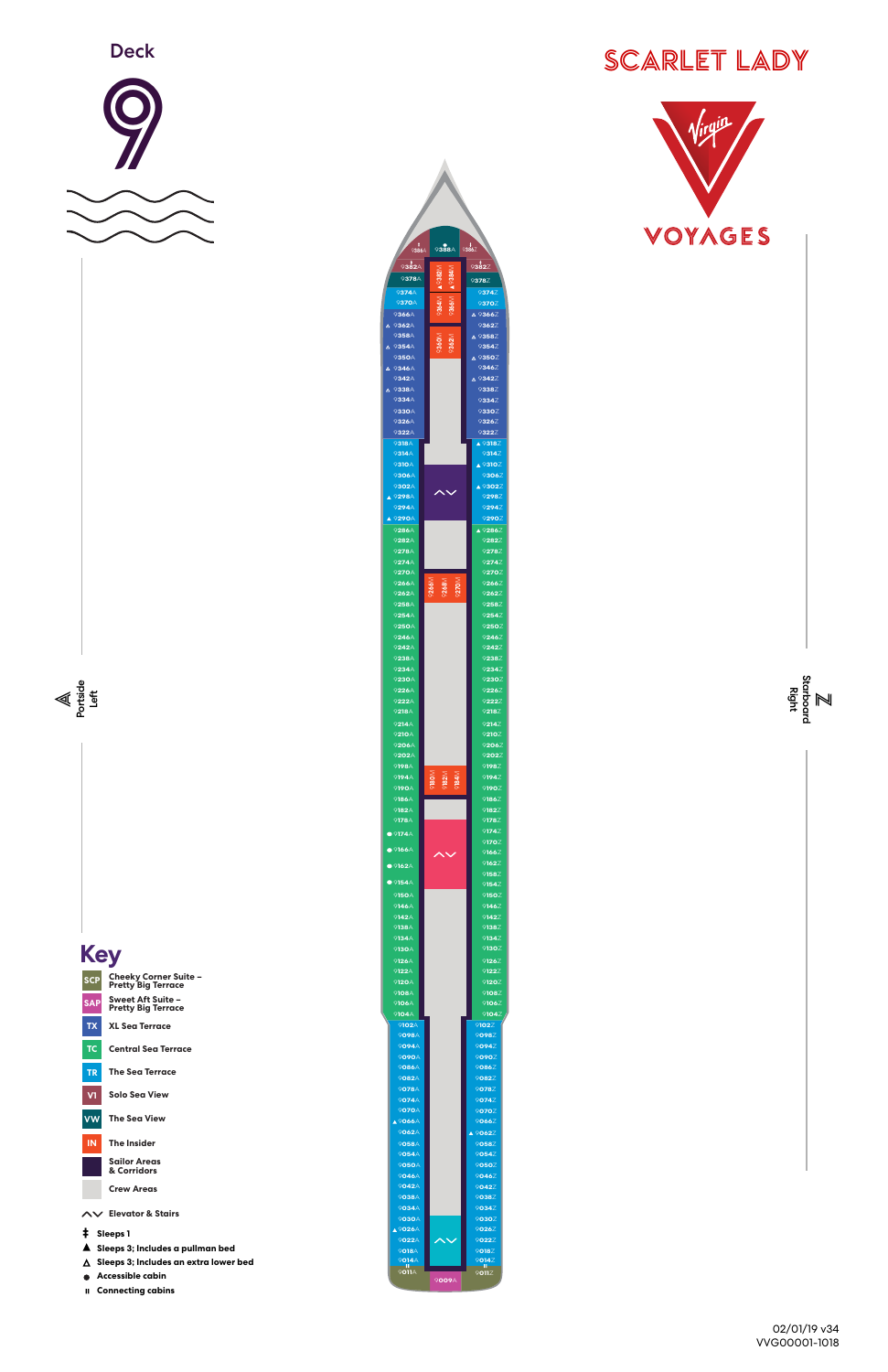









| <b>Pretty big lerrace</b>                  | 9104A                 |                                                                          | 9104           |
|--------------------------------------------|-----------------------|--------------------------------------------------------------------------|----------------|
| <b>XL Sea Terrace</b><br><b>TX</b>         | 9102A                 |                                                                          | 9102Z          |
|                                            | 9098A                 |                                                                          | 9098Z          |
| TC<br><b>Central Sea Terrace</b>           | 9094A                 |                                                                          | 9094Z          |
|                                            | 9090A                 |                                                                          | 9090Z          |
| <b>TR</b><br><b>The Sea Terrace</b>        | 9086A                 |                                                                          | 9086Z          |
|                                            | 9082A                 |                                                                          | 9082Z          |
| <b>Solo Sea View</b><br>V1                 | 9078A                 |                                                                          | 9078Z          |
|                                            | 9074A<br><b>9070A</b> |                                                                          | 9074Z<br>9070Z |
| <b>VW</b><br><b>The Sea View</b>           | <b>A 9066A</b>        |                                                                          | 9066Z          |
|                                            | 9062A                 |                                                                          | ▲ 9062Z        |
| <b>The Insider</b><br><b>IN</b>            | 9058A                 |                                                                          | 9058Z          |
|                                            | 9054A                 |                                                                          | 9054Z          |
| <b>Sailor Areas</b>                        | 9050A                 |                                                                          | 9050Z          |
| & Corridors                                | 9046A                 |                                                                          | 9046Z          |
| <b>Crew Areas</b>                          | 9042A                 |                                                                          | 9042Z          |
|                                            | 9038A                 |                                                                          | 9038Z          |
| AV Elevator & Stairs                       | 9034A                 |                                                                          | 9034Z          |
|                                            | 9030A                 |                                                                          | 9030Z          |
| Sleeps 1<br>\$                             | $\triangle$ 9026A     |                                                                          | 9026Z          |
| Sleeps 3; Includes a pullman bed           | 9022A                 | $\boldsymbol{\mathop{\sim}}\mathop{\boldsymbol{\mathop{\sim}}\nolimits}$ | 9022Z          |
|                                            | 9018A<br>9014A        |                                                                          | 9018Z<br>9014Z |
| Sleeps 3; Includes an extra lower bed<br>Δ | 9011A                 |                                                                          | 9011Z          |
| Accessible cabin                           |                       | 9009A                                                                    |                |
| <b>Connecting cabins</b><br>Ш.             |                       |                                                                          |                |
|                                            |                       |                                                                          |                |

|                          | <u>9</u> 388∆ | $*$ 9386 $Z$                             |
|--------------------------|---------------|------------------------------------------|
| <u>9</u> 382∆<br>9378A   |               | 9 <b>382</b> Z<br>9378Z                  |
| 9374A                    |               | 9374Z                                    |
| 9370A<br>9366A           |               | 9370Z<br>△ 9366Z                         |
| 9362A<br>Δ<br>9358A      |               | 9362Z<br>△ 9358Z                         |
| 9354A<br>Δ               |               | 9354Z                                    |
| 9350A<br>9346A<br>Δ      |               | △ 9350Z<br>9346Z                         |
| 9342A<br>9338A           |               | △ 9342Z<br>9338Z                         |
| Δ<br>9334A               |               | 9334Z                                    |
| 9330A<br>9326A           |               | 9330Z<br>9326Z                           |
| 9322A<br>9318A           |               | 9322Z<br>$\triangle$ 9318 $\overline{Z}$ |
| 9314A                    |               | 9314Z                                    |
| 9310A<br>9306A           |               | $\triangle$ 9310Z<br>9306Z               |
| 9302A                    |               | ▲ 9302Z                                  |
| 9298A<br>9294A           |               | 9298Z<br>9294Z                           |
| 9290A                    |               | 9290Z                                    |
| 9286A<br>9282A           |               | $\triangle$ 9286Z<br>9282Z               |
| 9278A<br>9274A           |               | 9278Z<br>9274Z                           |
| 9270A                    |               | 9270Z                                    |
| 9266A<br>9262A           | <b>268</b>    | 9266Z<br>9262Z                           |
| 9258A<br>9254A           |               | 9258Z<br>9254Z                           |
| 9250A                    |               | 9250Z                                    |
| 9246A<br>9242A           |               | 9246Z<br>9242Z                           |
| 9238A                    |               | 9238Z                                    |
| 9234A<br>9230A           |               | 9234Z<br>9230Z                           |
| 9226A<br>9222A           |               | 9226Z<br>9222Z                           |
| 9218A                    |               | 9218Z                                    |
| 9214A<br>9210A           |               | 9214Z<br>9210Z                           |
| 9206A<br>9202A           |               | 9206Z                                    |
| 9198A                    |               | 9202Z<br>9198Z                           |
| 9194A<br>9190A           |               | 9194Z<br>9190Z                           |
| 9186A                    |               | 9186Z                                    |
| 9182A<br>9178A           |               | 9182Z<br>9178Z                           |
| 9174A                    |               | 9174Z<br>9170Z                           |
| $\bullet$ 9166A          |               | 9166Z                                    |
| $\bullet$ 9162A          |               | 9162Z<br>9158Z                           |
| $\bullet$ 9154A<br>9150A |               | 9154Z<br>$9150\overline{Z}$              |
| 9146A                    |               | 9146Z                                    |
| 9142A<br>9138A           |               | 9142Z<br>9138Z                           |
| 9134A                    |               | 9134Z                                    |
| 9130A<br>9126A           |               | 9130Z<br>9126Z                           |
| 9122A<br>9120A           |               | 9122Z<br>9120Z                           |
| 9108A                    |               | 9108Z                                    |
| 9106A<br>9104A           |               | 9106Z<br>9104Z                           |

**050**A 9**050**Z

**038**A 9**038**Z **034**A 9**034**Z



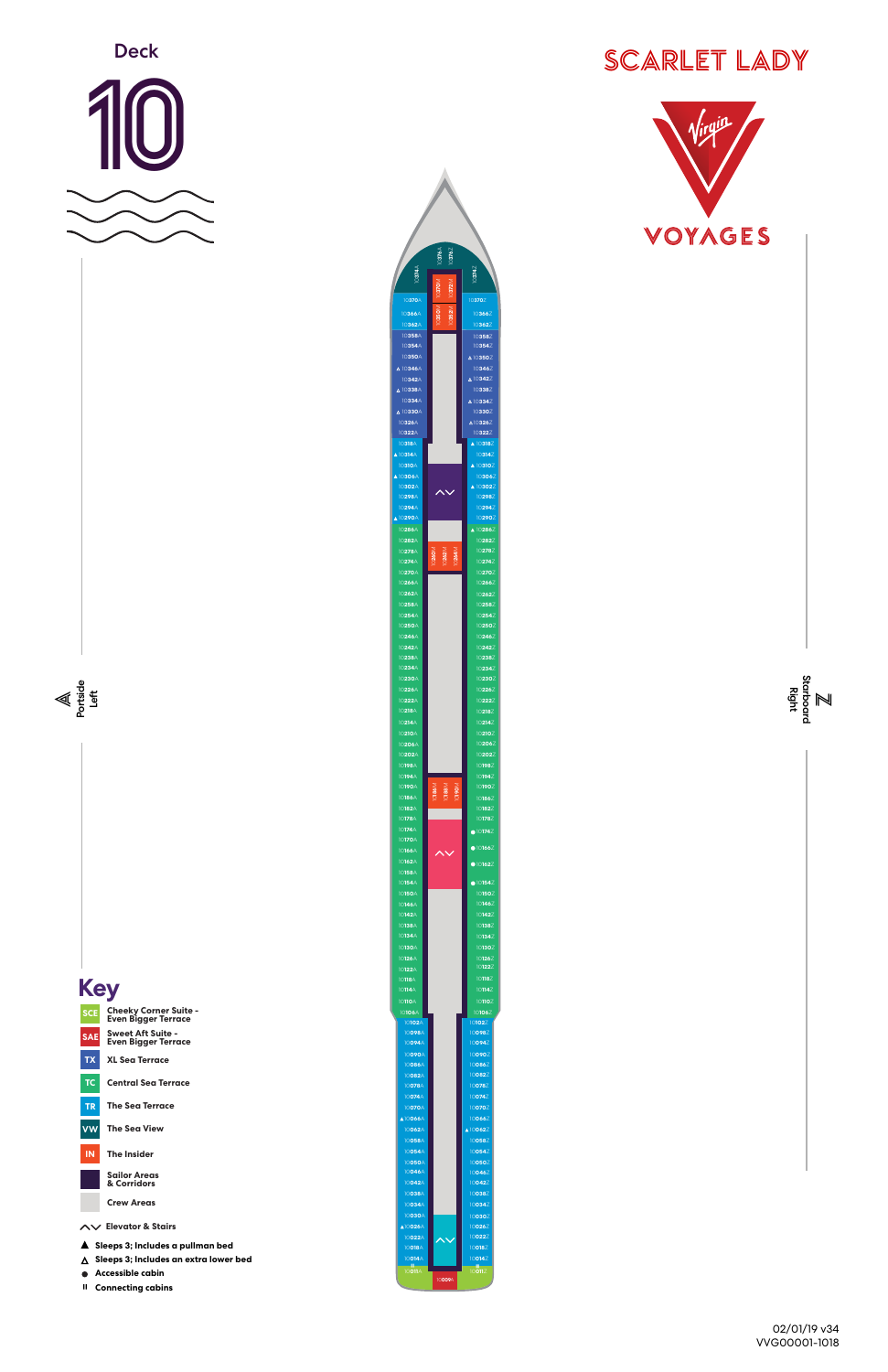



02/01/19 v34 VVG00001-1018

 **Connecting cabins** 



| <b>Cheeky Corner Suite -</b><br><b>SCE</b><br><b>Even Bigger Terrace</b>    | 10106A<br>10102A                   |  |
|-----------------------------------------------------------------------------|------------------------------------|--|
| <b>Sweet Aft Suite -</b><br><b>SAE</b><br><b>Even Bigger Terrace</b>        | 10098A<br>10094A                   |  |
| <b>XL Sea Terrace</b><br><b>TX</b>                                          | 10090A<br>10086A                   |  |
| TC.<br><b>Central Sea Terrace</b>                                           | 10082A<br>10078A                   |  |
| <b>The Sea Terrace</b><br><b>TR</b>                                         | 10074A<br>10070A                   |  |
| <b>The Sea View</b><br><b>VW</b>                                            | <b>A10066A</b><br>10062A<br>10058A |  |
| <b>The Insider</b><br>IN                                                    | 10054A<br>10050A                   |  |
| <b>Sailor Areas</b><br>& Corridors                                          | 10046A<br>10042A                   |  |
| <b>Crew Areas</b>                                                           | 10038A<br>10034A                   |  |
| AV Elevator & Stairs                                                        | 10030A<br><b>A10026A</b><br>10022A |  |
| Sleeps 3; Includes a pullman bed<br>▲                                       | 10018A                             |  |
| Sleeps 3; Includes an extra lower bed<br>$\lambda$<br>Accessible cabin<br>● | 10014A<br>л<br>10011A              |  |
|                                                                             |                                    |  |

**009**A

**058**Z **050**Z **054**Z **046**Z **042**Z **038**Z

**030**Z **034**Z **026**Z **022**Z



**102**Z **098**Z **094**Z **090**Z **086**Z **082**Z **078**Z **074**Z **070**Z **066**Z **062**Z

**018**Z **014**Z



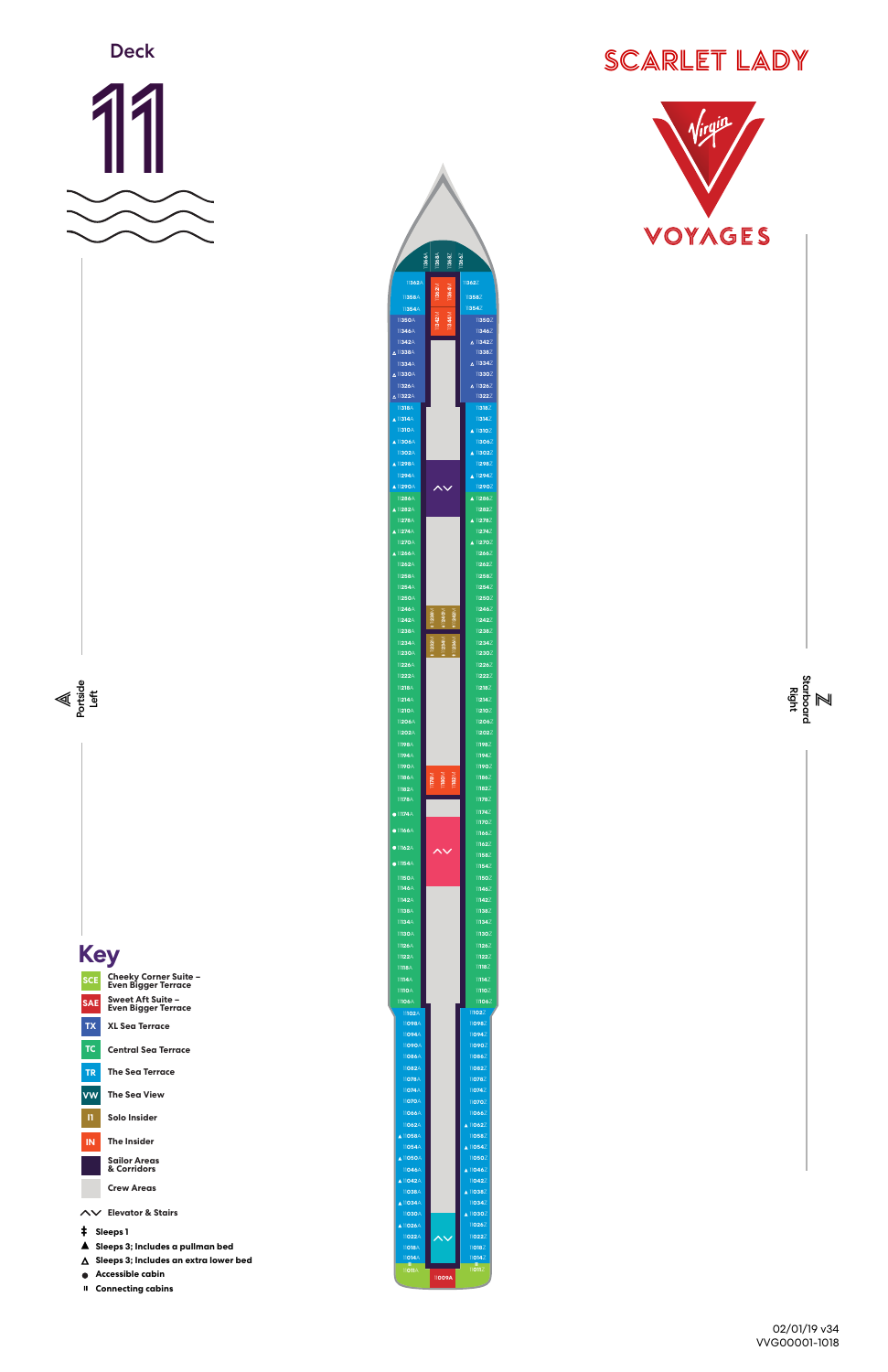



02/01/19 v34 VVG00001-1018





**Cheeky Corner Suite – Even Bigger Terrace Sweet Aft Suite – Even Bigger Terrace**

|           | Even Bigger Terrace                   | 11102A                    |        |
|-----------|---------------------------------------|---------------------------|--------|
| <b>TX</b> | <b>XL Sea Terrace</b>                 | 11098A                    |        |
|           |                                       | 11094A                    |        |
| TC        | <b>Central Sea Terrace</b>            | 11090A<br>11086A          |        |
|           |                                       | 11082A                    |        |
| <b>TR</b> | <b>The Sea Terrace</b>                | 11078A                    |        |
| <b>VW</b> | <b>The Sea View</b>                   | 11074A                    |        |
|           |                                       | 11070A                    |        |
| п         | <b>Solo Insider</b>                   | 11066A                    |        |
|           |                                       | 11062A                    |        |
| <b>IN</b> | <b>The Insider</b>                    | <b>A 11058A</b><br>11054A |        |
|           |                                       | <b>A 11050A</b>           |        |
|           | <b>Sailor Areas</b><br>& Corridors    | 11046A                    |        |
|           |                                       | A 11042A                  |        |
|           | <b>Crew Areas</b>                     | 11038A                    |        |
|           |                                       | A 11034A                  |        |
|           | AV Elevator & Stairs                  | 11030A                    |        |
| ŧ         | Sleeps 1                              | <b>A 11026A</b>           |        |
|           | Sleeps 3; Includes a pullman bed      | 11022A<br>11018A          |        |
| A         | Sleeps 3; Includes an extra lower bed | 11014A                    |        |
|           |                                       | -11<br>11011A             |        |
|           | Accessible cabin                      |                           | 11009A |
| Ш         | <b>Connecting cabins</b>              |                           |        |

**058**Z **050**Z **054**Z **046**Z **042**Z **038**Z

**030**Z **034**Z **026**Z **022**Z



**102**Z **098**Z **094**Z **090**Z **086**Z **082**Z **078**Z **074**Z **070**Z **066**Z **062**Z

**018**Z **014**Z



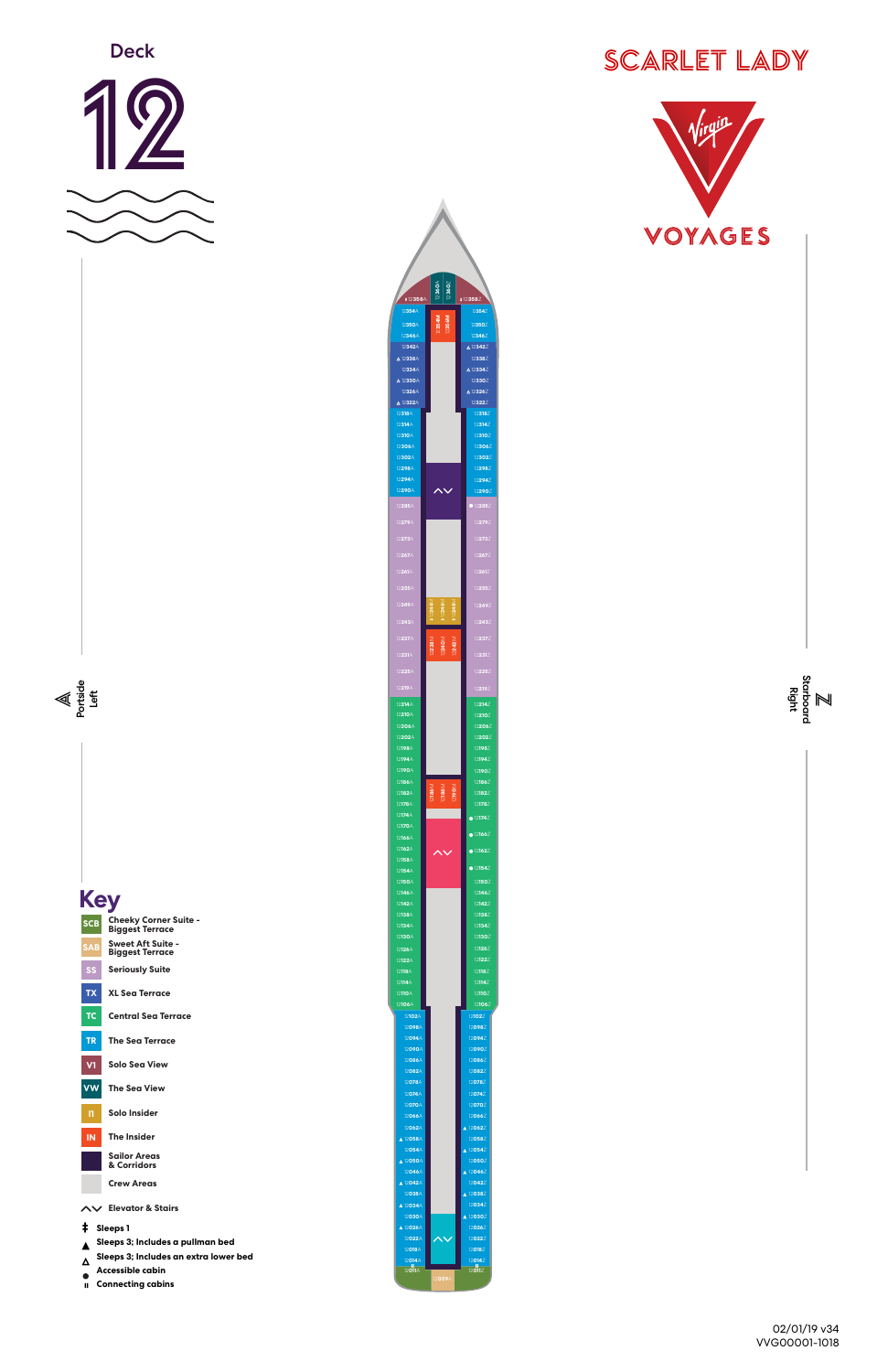





02/01/19 v34 VVG00001-1018

**XL Sea Terrace**

**TX**



| <b>TC</b><br><b>Central Sea Terrace</b>    | 12102A             |
|--------------------------------------------|--------------------|
|                                            | 12098A             |
| <b>The Sea Terrace</b><br><b>TR</b>        | 12094A             |
|                                            | 12090A             |
| <b>Solo Sea View</b><br>V1                 | 12086A<br>12082A   |
|                                            | 12078A             |
| <b>The Sea View</b><br><b>VW</b>           | 12074A             |
|                                            | 12070A             |
| <b>Solo Insider</b><br>п                   | 12066A             |
|                                            | 12062A             |
| <b>The Insider</b><br><b>IN</b>            | ▲ 12058A           |
| <b>Sailor Areas</b>                        | 12054A             |
| & Corridors                                | ▲ 12050A<br>12046A |
| <b>Crew Areas</b>                          | ▲ 12042A           |
|                                            | 12038A             |
| AV Elevator & Stairs                       | ▲ 12034A           |
|                                            | 12030A             |
| ŧ<br><b>Sleeps 1</b>                       | ▲ 12026A           |
| Sleeps 3; Includes a pullman bed           | 12022A<br>12018A   |
| Sleeps 3; Includes an extra lower bed<br>Δ | 12014A             |
| <b>Accessible cabin</b>                    | 12011A             |
| <b>Connecting cabins</b><br>$\mathbf{I}$   |                    |
|                                            |                    |

**094**Z **098**Z **102**Z

**090**Z

**082**Z **086**Z

**078**Z

**070**Z **074**Z **066**Z

12**360**A 12**360**Z **358**A 12**358**Z **354**A **354**Z 12**354M** 12**356M 350**Z **350**A **346**A **346**Z **342**A **342**Z **338**A **338**Z **334**A **334**Z **330**A **330**Z **326**Z **326**A **322**Z **322**A **318**Z **318**A **314**A **314**Z **310**A **310**Z **306**A **306**Z **302**A **302**Z **298**Z **298**A **294**Z **294**A  $\boldsymbol{\wedge}\boldsymbol{\vee}$ **290**Z **290**A **285**A **279**A **011**A 12**011**Z 12**244**M 12**246**M 12**248**M 12**238**M 12**240**M 12**242**M **214**A **210**A **210**Z **206**A **206**Z **202**Z **202**A **198**A **198**Z **194**A **194**Z **190**A **190**Z **186**A **186**Z 12p209A 12<br>12009A 12<br>12009A 12 12**190**M **182**A **182**Z **178**A **178**Z **174**A **170**A **166**Z **166**A **162**Z  $\overline{\mathbf{v}}$ **162**A **158**A **154**Z **154**A **150**Z **150**A **146**Z **126**A **126**Z **122**A **122**Z **118**A **118**Z **114**A **114**Z **110**A **110**Z **106**A **106**Z

**054**Z **058**Z **062**Z

**050**Z **042**Z **046**Z

**038**Z **030**Z **034**Z

**026**Z

**018**Z **022**Z

**014**Z



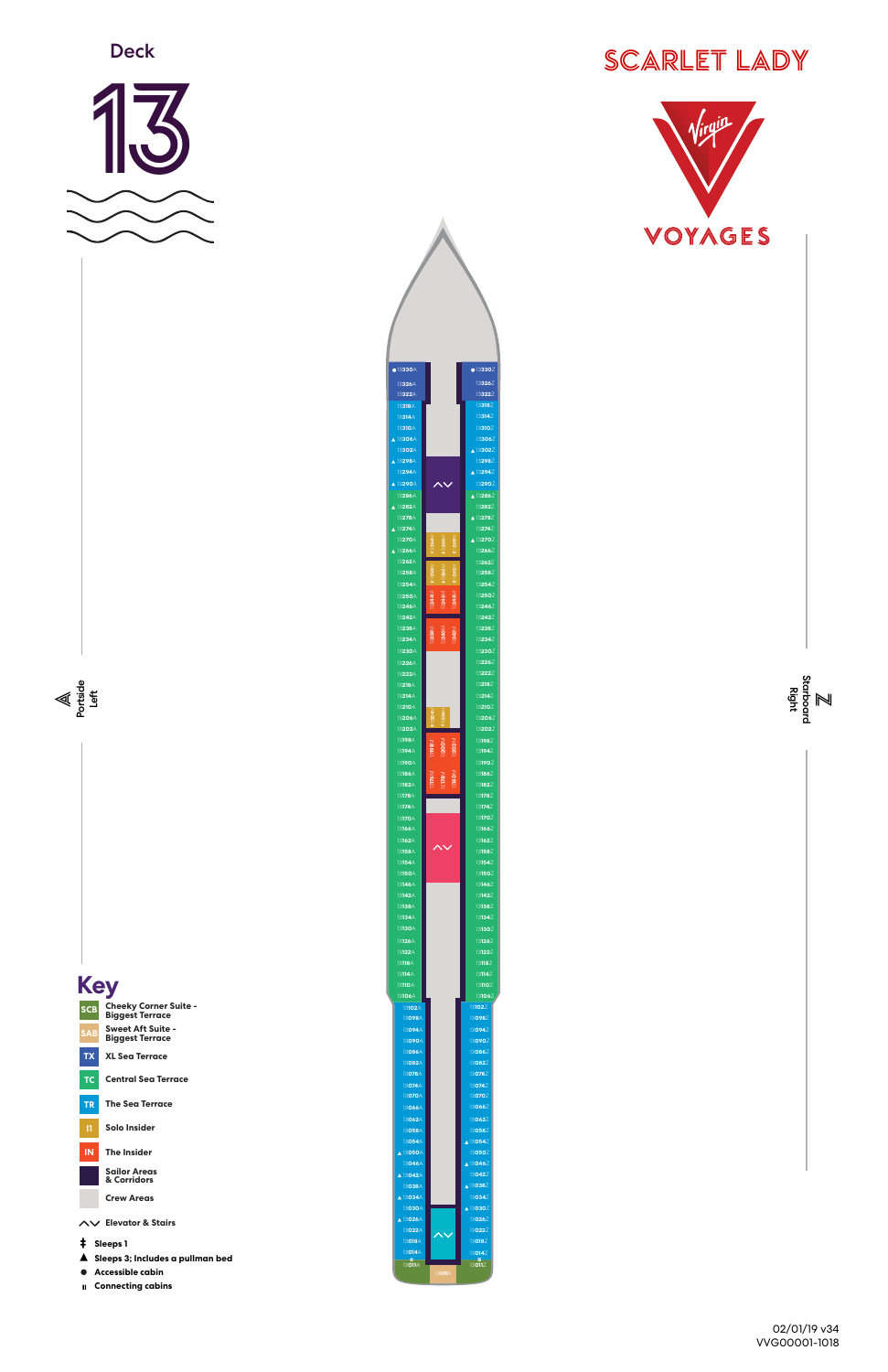



02/01/19 v34 VVG00001-1018





 **Connecting cabins** 

| <b>SCB</b>    | Cheeky Corner Suite -<br><b>Biggest Terrace</b>      | 13102A<br>13098A             |                         | 131022<br>13098             |
|---------------|------------------------------------------------------|------------------------------|-------------------------|-----------------------------|
| <b>SAB</b>    | <b>Sweet Aft Suite -</b><br><b>Biggest Terrace</b>   | 13094A<br>13090A             |                         | 13094<br>13090              |
| <b>TX</b>     | <b>XL Sea Terrace</b>                                | 13086A<br>13082A             |                         | 13086<br>13082              |
| TC.           | <b>Central Sea Terrace</b>                           | 13078A<br>13074A             |                         | 13078<br>130742             |
| <b>TR</b>     | <b>The Sea Terrace</b>                               | 13070A<br>13066A             |                         | 13070<br>13066              |
| п             | <b>Solo Insider</b>                                  | 13062A<br>13058A             |                         | 13062<br>13058              |
| <b>IN</b>     | <b>The Insider</b>                                   | 13054A<br>A 13050A<br>13046A |                         | ▲ 13054<br>13050<br>▲ 13046 |
|               | <b>Sailor Areas</b><br>& Corridors                   | A 13042A<br>13038A           |                         | 13042<br>A 13038            |
|               | <b>Crew Areas</b>                                    | A 13034A<br>13030A           |                         | 13034<br>▲ 13030            |
|               | AV Elevator & Stairs                                 | A 13026A<br>13022A           | $\overline{\mathsf{v}}$ | 13026<br>13022              |
| ŧ<br>Sleeps 1 |                                                      | 13018A<br>13014A             |                         | 13018Z<br>130142            |
|               | Sleeps 3; Includes a pullman bed<br>Accessible cabin | $\mathbf{H}$<br>13011A       | 13009A                  | سال<br>13011Z               |



**058**Z

**050**Z **054**Z **046**Z **042**Z **038**Z

**030**Z **034**Z **026**Z **022**Z

**098**Z **094**Z **090**Z **086**Z **082**Z **078**Z **074**Z **070**Z **066**Z **062**Z

**018**Z **014**Z



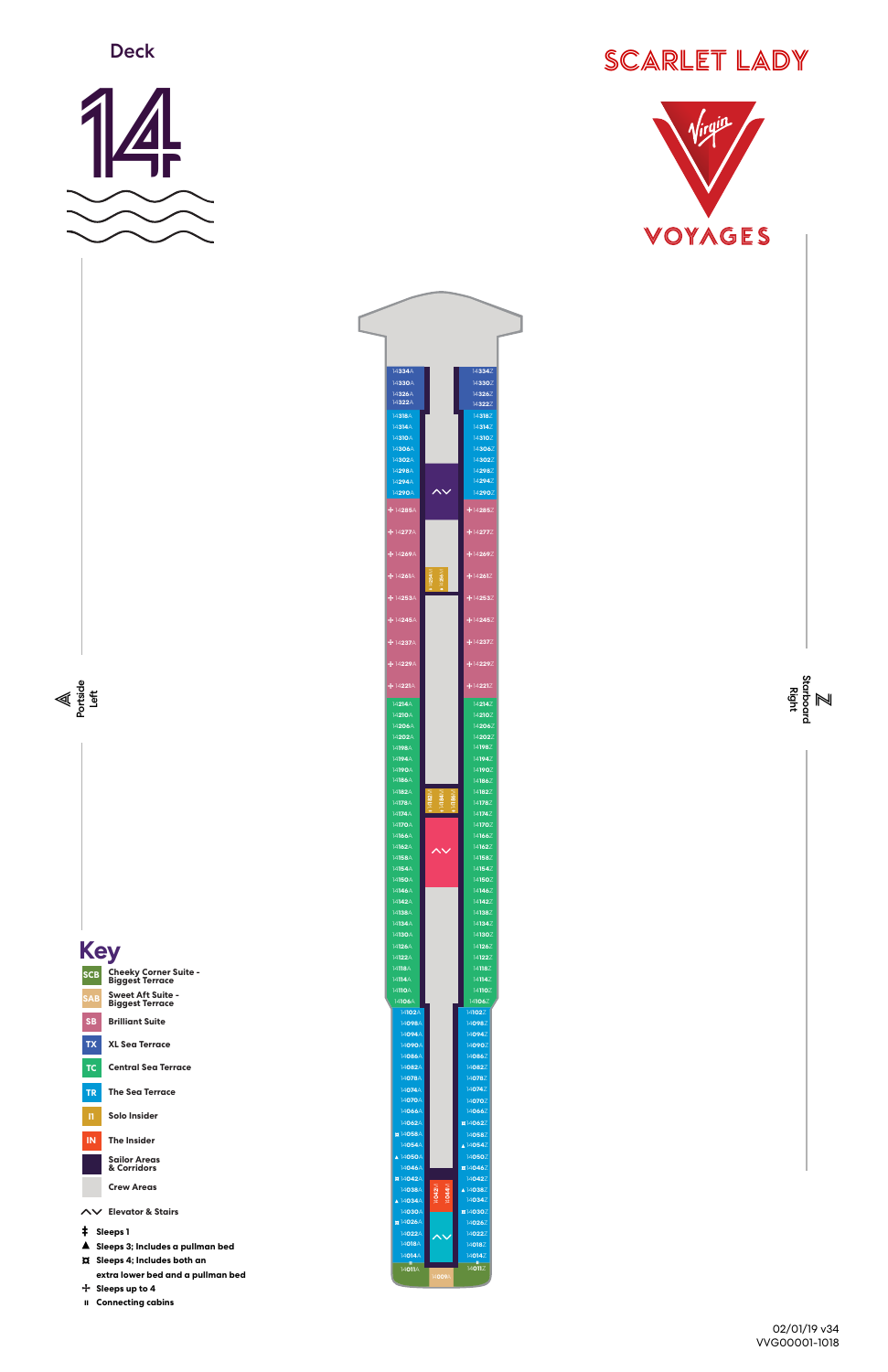



**Deck** 



 **Connecting cabins** 



|                                     | 14102A         |                                            | 14102Z       |
|-------------------------------------|----------------|--------------------------------------------|--------------|
| <b>SB</b><br><b>Brilliant Suite</b> | 14098A         |                                            | 140982       |
|                                     | 14094A         |                                            | 140942       |
| <b>TX</b><br><b>XL Sea Terrace</b>  | 14090A         |                                            | 14090        |
|                                     | 14086A         |                                            | 140862       |
| <b>Central Sea Terrace</b><br>TC    | 14082A         |                                            | 140822       |
|                                     | 14078A         |                                            | 140782       |
| <b>The Sea Terrace</b><br><b>TR</b> | 14074A         |                                            | 140742       |
|                                     | 14070A         |                                            | 140702       |
| <b>Solo Insider</b><br>п            | 14066A         |                                            | 140662       |
|                                     | 14062A         |                                            | ¤140622      |
|                                     | ¤14058A        |                                            | 140582       |
| <b>The Insider</b><br><b>IN</b>     | 14054A         |                                            | ▲ 140542     |
| <b>Sailor Areas</b>                 | A 14050A       |                                            | 14050        |
| & Corridors                         | 14046A         |                                            | ¤14046       |
|                                     | <b>¤14042A</b> |                                            | 14042        |
| <b>Crew Areas</b>                   | 14038A         | 14044M<br>14042M                           | ▲ 140382     |
|                                     | A 14034A       |                                            | 14034        |
| <b>Elevator &amp; Stairs</b><br>ヘン  | 14030A         |                                            | ¤14030       |
|                                     | <b>¤14026A</b> |                                            | 140262       |
| ŧ<br>Sleeps 1                       | 14022A         | $\boldsymbol{\mathsf{\sim}}\!\!\mathsf{v}$ | 140227       |
| Sleeps 3; Includes a pullman bed    | 14018A         |                                            | 14018Z       |
|                                     | 14014A         |                                            | 14014Z       |
| <b>D</b> Sleeps 4; Includes both an | H.<br>14011A   |                                            | æ.<br>14011Z |
| extra lower bed and a pullman bed   |                | 14009A                                     |              |
| 十 Sleeps up to 4                    |                |                                            |              |
|                                     |                |                                            |              |

**050**Z **054**Z



**098**Z **094**Z **090**Z **086**Z **082**Z **078**Z **074**Z **070**Z **066**Z **062**Z

# SCARLET LADY

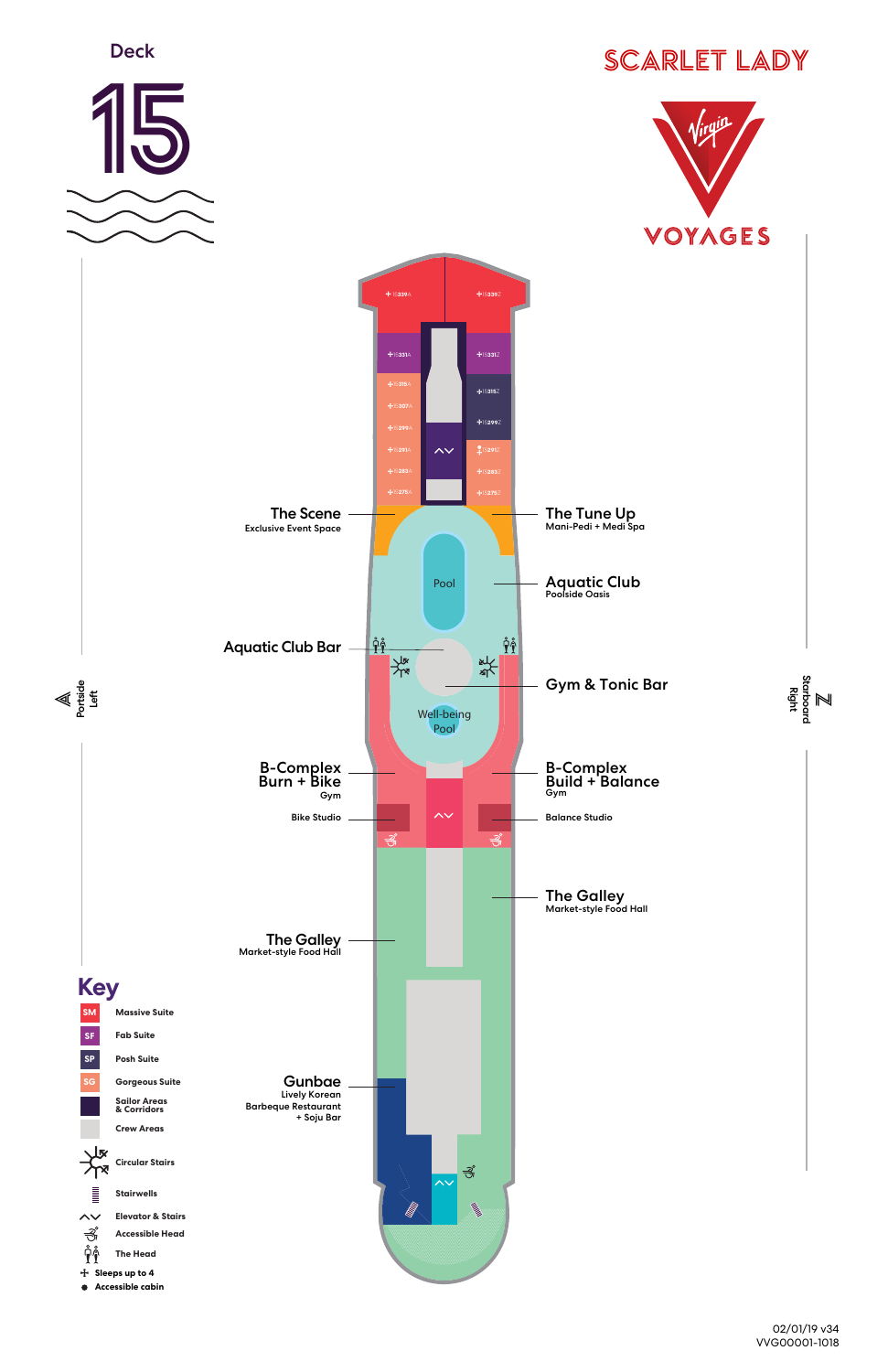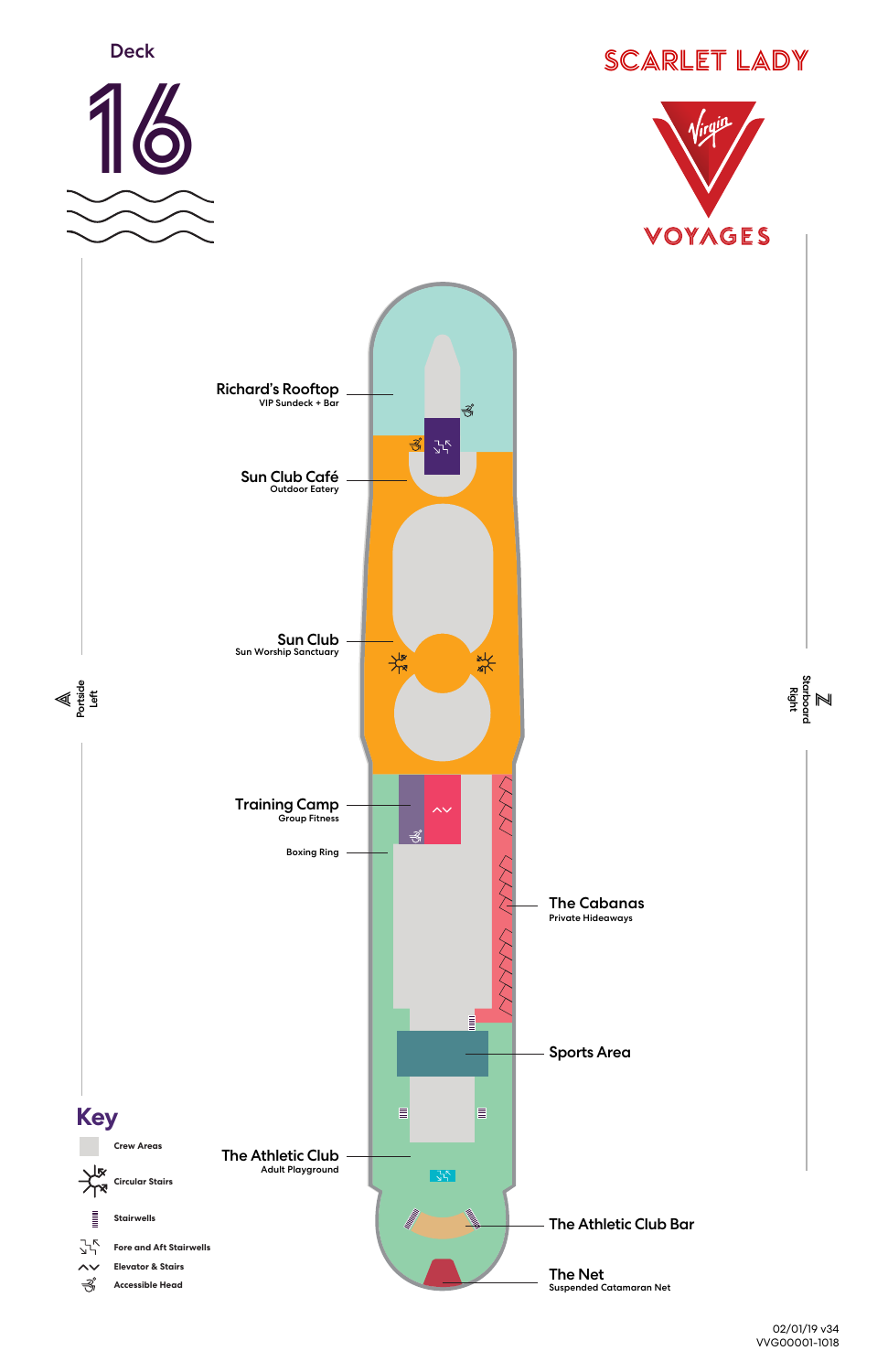

M<br>geste Starboard



![](_page_11_Picture_1.jpeg)

![](_page_11_Picture_2.jpeg)

![](_page_11_Picture_3.jpeg)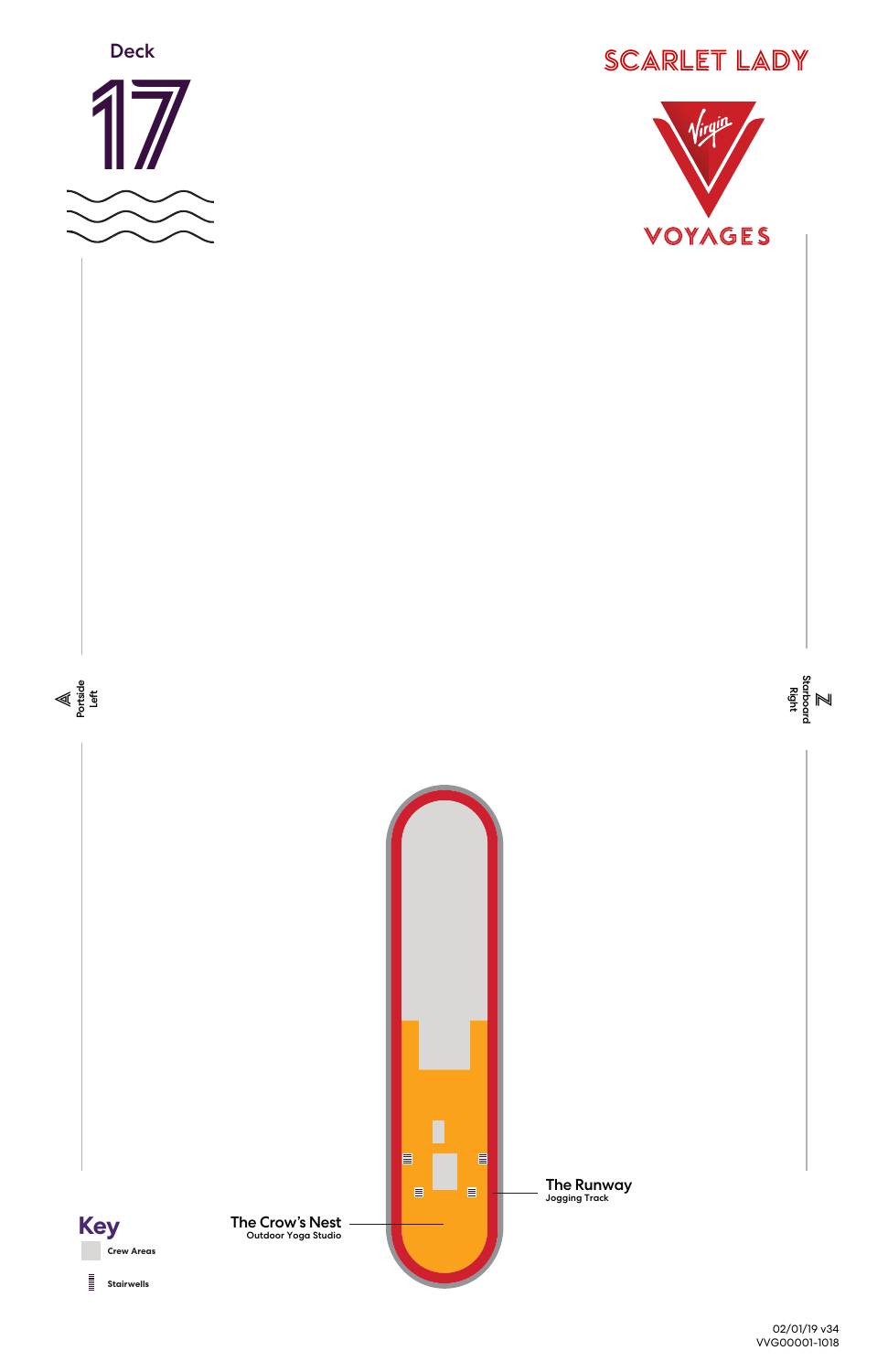![](_page_12_Picture_0.jpeg)

![](_page_12_Figure_1.jpeg)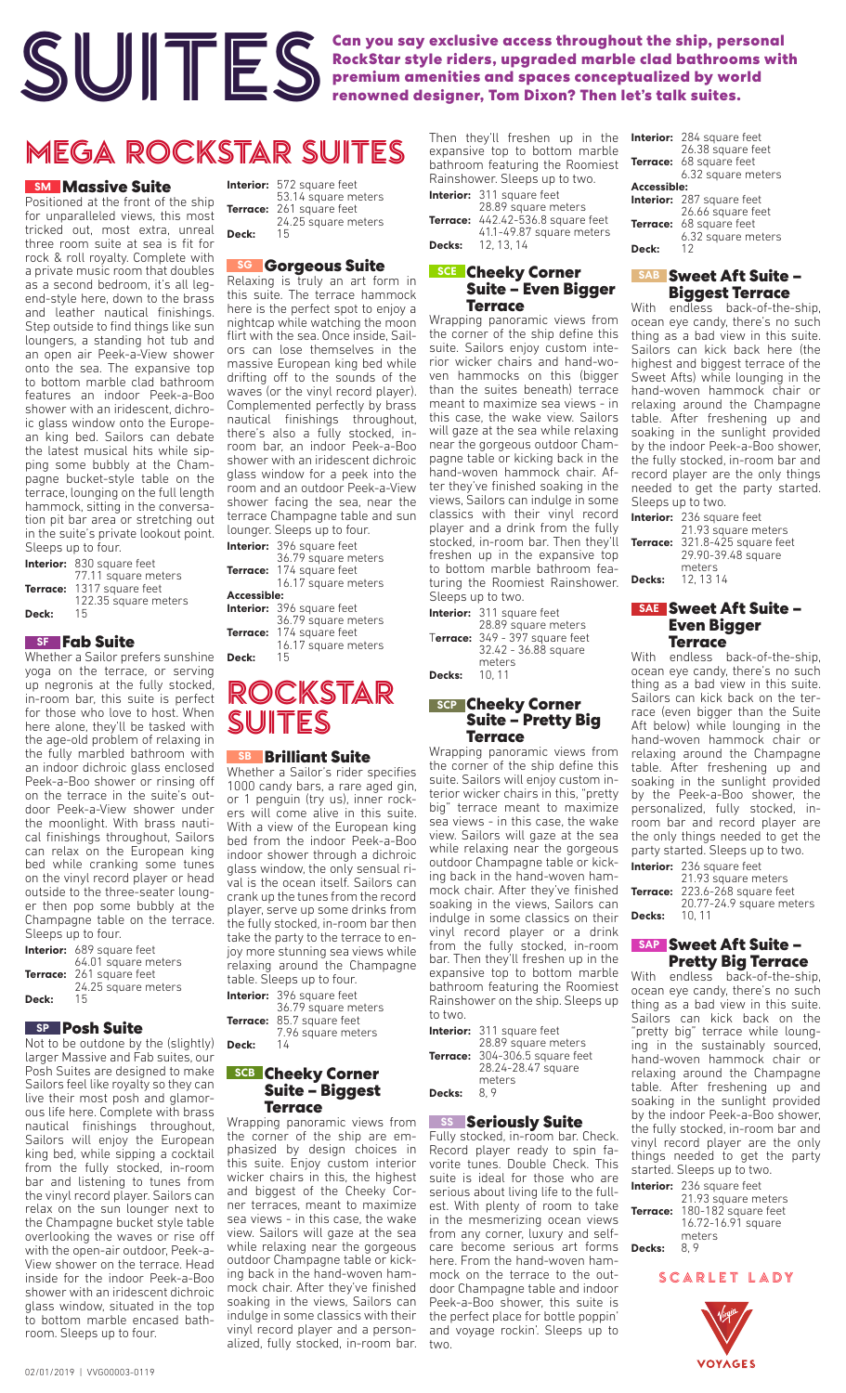![](_page_13_Picture_0.jpeg)

**SUITES** Can you say exclusive access throughout the ship, personal RockStar style riders, upgraded marble clad bathrooms with premium amenities and spaces conceptualized by world renowned designer, Tom Dixon? Then let's t **RockStar style riders, upgraded marble clad bathrooms with premium amenities and spaces conceptualized by world renowned designer, Tom Dixon? Then let's talk suites.**

## MEGA ROCKSTAR SUITES

#### **SM** Massive Suite

Positioned at the front of the ship for unparalleled views, this most tricked out, most extra, unreal three room suite at sea is fit for rock & roll royalty. Complete with a private music room that doubles as a second bedroom, it's all legend-style here, down to the brass and leather nautical finishings. Step outside to find things like sun loungers, a standing hot tub and an open air Peek-a-View shower onto the sea. The expansive top to bottom marble clad bathroom features an indoor Peek-a-Boo shower with an iridescent, dichroic glass window onto the European king bed. Sailors can debate the latest musical hits while sipping some bubbly at the Champagne bucket-style table on the terrace, lounging on the full length hammock, sitting in the conversation pit bar area or stretching out in the suite's private lookout point. Sleeps up to four.

|       | Interior: 830 square feet |
|-------|---------------------------|
|       | 77.11 square meters       |
|       | Terrace: 1317 square feet |
|       | 122.35 square meters      |
| Deck: | 15                        |

#### **Fab Suite SF**

Whether a Sailor prefers sunshine yoga on the terrace, or serving up negronis at the fully stocked, in-room bar, this suite is perfect for those who love to host. When here alone, they'll be tasked with the age-old problem of relaxing in the fully marbled bathroom with an indoor dichroic glass enclosed Peek-a-Boo shower or rinsing off on the terrace in the suite's outdoor Peek-a-View shower under the moonlight. With brass nautical finishings throughout, Sailors can relax on the European king bed while cranking some tunes on the vinyl record player or head outside to the three-seater lounger then pop some bubbly at the Champagne table on the terrace. Sleeps up to four.

|       | <b>Interior:</b> 689 square feet |
|-------|----------------------------------|
|       | 64.01 square meters              |
|       | Terrace: 261 square feet         |
|       | 24.25 square meters              |
| Deck: | 15                               |

### **Posh Suite SP**

Not to be outdone by the (slightly) larger Massive and Fab suites, our Posh Suites are designed to make Sailors feel like royalty so they can live their most posh and glamorous life here. Complete with brass nautical finishings throughout, Sailors will enjoy the European king bed, while sipping a cocktail from the fully stocked, in-room bar and listening to tunes from the vinyl record player. Sailors can relax on the sun lounger next to the Champagne bucket style table overlooking the waves or rise off with the open-air outdoor, Peek-a-View shower on the terrace. Head inside for the indoor Peek-a-Boo shower with an iridescent dichroic glass window, situated in the top to bottom marble encased bathroom. Sleeps up to four.

**Interior:** 572 square feet 53.14 square meters **Terrace:** 261 square feet 24.25 square meters Deck:

#### **Gorgeous Suite SG**

Relaxing is truly an art form in this suite. The terrace hammock here is the perfect spot to enjoy a nightcap while watching the moon flirt with the sea. Once inside, Sailors can lose themselves in the massive European king bed while drifting off to the sounds of the waves (or the vinyl record player). Complemented perfectly by brass nautical finishings throughout, there's also a fully stocked, inroom bar, an indoor Peek-a-Boo shower with an iridescent dichroic glass window for a peek into the room and an outdoor Peek-a-View shower facing the sea, near the terrace Champagne table and sun lounger. Sleeps up to four.

**Interior:** 396 square feet 36.79 square meters **Terrace:** 174 square feet 16.17 square meters **Accessible: Interior:** 396 square feet 36.79 square meters **Terrace:** 174 square feet 16.17 square meters **Deck:** 15

## ROCKSTAR SUITES

#### **Brilliant Suite SB**

Whether a Sailor's rider specifies 1000 candy bars, a rare aged gin, or 1 penguin (try us), inner rockers will come alive in this suite. With a view of the European king bed from the indoor Peek-a-Boo indoor shower through a dichroic glass window, the only sensual rival is the ocean itself. Sailors can crank up the tunes from the record player, serve up some drinks from the fully stocked, in-room bar then take the party to the terrace to enjoy more stunning sea views while relaxing around the Champagne table. Sleeps up to four.

**Interior:** 396 square feet 36.79 square meters **Terrace:** 85.7 square feet 7.96 square meters Deck:

#### **Cheeky Corner SCB Suite – Biggest Terrace**

Wrapping panoramic views from the corner of the ship are emphasized by design choices in this suite. Enjoy custom interior wicker chairs in this, the highest and biggest of the Cheeky Corner terraces, meant to maximize sea views - in this case, the wake view. Sailors will gaze at the sea while relaxing near the gorgeous outdoor Champagne table or kicking back in the hand-woven hammock chair. After they've finished soaking in the views, Sailors can indulge in some classics with their vinyl record player and a personalized, fully stocked, in-room bar.

|          | expansive top to bottom marble  |
|----------|---------------------------------|
|          | bathroom featuring the Roomiest |
|          | Rainshower. Sleeps up to two.   |
|          | Interior: 311 square feet       |
|          | 28.89 square meters             |
| Terrace: | 442.42-536.8 square feet        |
|          | 41.1-49.87 square meters        |
|          | <b>Decks:</b> 12, 13, 14        |

Then they'll freshen up in the

#### **Cheeky Corner SCE Suite – Even Bigger Terrace**

Wrapping panoramic views from the corner of the ship define this suite. Sailors enjoy custom interior wicker chairs and hand-woven hammocks on this (bigger than the suites beneath) terrace meant to maximize sea views - in this case, the wake view. Sailors will gaze at the sea while relaxing near the gorgeous outdoor Champagne table or kicking back in the hand-woven hammock chair. After they've finished soaking in the views, Sailors can indulge in some classics with their vinyl record player and a drink from the fully stocked, in-room bar. Then they'll freshen up in the expansive top to bottom marble bathroom featuring the Roomiest Rainshower. Sleeps up to two.

|        | <b>Interior:</b> 311 square feet                      |
|--------|-------------------------------------------------------|
|        | 28.89 square meters<br>Terrace: 349 - 397 square feet |
|        | 32.42 - 36.88 square                                  |
|        | meters                                                |
| Decks: | 10.11                                                 |

### **Cheeky Corner SCP**

### **Suite – Pretty Big Terrace**

Wrapping panoramic views from the corner of the ship define this suite. Sailors will enjoy custom interior wicker chairs in this, "pretty big" terrace meant to maximize sea views - in this case, the wake view. Sailors will gaze at the sea while relaxing near the gorgeous outdoor Champagne table or kicking back in the hand-woven hammock chair. After they've finished soaking in the views, Sailors can indulge in some classics on their vinyl record player or a drink from the fully stocked, in-room bar. Then they'll freshen up in the expansive top to bottom marble bathroom featuring the Roomiest Rainshower on the ship. Sleeps up to two.

**Interior:** 311 square feet 28.89 square meters **Terrace:** 304-306.5 square feet 28.24-28.47 square meters<br>8.9 Decks:

#### **Seriously Suite SS**

Fully stocked, in-room bar. Check. Record player ready to spin favorite tunes. Double Check. This suite is ideal for those who are serious about living life to the fullest. With plenty of room to take in the mesmerizing ocean views from any corner, luxury and selfcare become serious art forms here. From the hand-woven hammock on the terrace to the outdoor Champagne table and indoor Peek-a-Boo shower, this suite is the perfect place for bottle poppin' and voyage rockin'. Sleeps up to two.

|             | <b>Interior:</b> 284 square feet<br>26.38 square feet<br><b>Terrace:</b> 68 square feet<br>6.32 square meters |
|-------------|---------------------------------------------------------------------------------------------------------------|
| Accessible: |                                                                                                               |
|             | Interior: 287 square feet<br>26.66 square feet                                                                |
| Terrace:    | 68 square feet<br>6.32 square meters                                                                          |
| Deck:       | 12                                                                                                            |

#### **Sweet Aft Suite – SAB Biggest Terrace**

With endless back-of-the-ship, ocean eye candy, there's no such thing as a bad view in this suite. Sailors can kick back here (the highest and biggest terrace of the Sweet Afts) while lounging in the hand-woven hammock chair or relaxing around the Champagne table. After freshening up and soaking in the sunlight provided by the indoor Peek-a-Boo shower, the fully stocked, in-room bar and record player are the only things needed to get the party started. Sleeps up to two.

|        | Interior: 236 square feet      |
|--------|--------------------------------|
|        | 21.93 square meters            |
|        | Terrace: 321.8-425 square feet |
|        | 29.90-39.48 square             |
|        | meters                         |
| Decks: | 12.1314                        |

#### **Sweet Aft Suite – SAE Even Bigger Terrace**

With endless back-of-the-ship, ocean eye candy, there's no such thing as a bad view in this suite. Sailors can kick back on the terrace (even bigger than the Suite Aft below) while lounging in the hand-woven hammock chair or relaxing around the Champagne table. After freshening up and soaking in the sunlight provided by the Peek-a-Boo shower, the personalized, fully stocked, inroom bar and record player are the only things needed to get the party started. Sleeps up to two.

**Interior:** 236 square feet 21.93 square meters **Terrace:** 223.6-268 square feet 20.77-24.9 square meters **Decks:** 10, 11

#### **Sweet Aft Suite – SAP Pretty Big Terrace**

With endless back-of-the-ship, ocean eye candy, there's no such thing as a bad view in this suite. Sailors can kick back on the "pretty big" terrace while lounging in the sustainably sourced, hand-woven hammock chair or relaxing around the Champagne table. After freshening up and soaking in the sunlight provided by the indoor Peek-a-Boo shower, the fully stocked, in-room bar and vinyl record player are the only things needed to get the party started. Sleeps up to two.

|          | Interior: 236 square feet |
|----------|---------------------------|
|          | 21.93 square meters       |
| Terrace: | 180-182 square feet       |
|          | 16.72-16.91 square        |
|          | meters                    |
| Decks:   | 8.9                       |

SCARLET LADY

![](_page_13_Picture_43.jpeg)